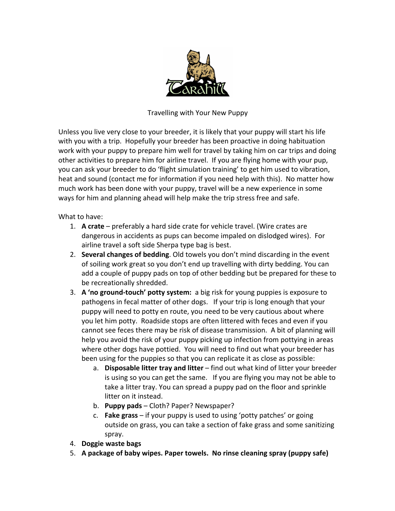

Travelling with Your New Puppy

Unless you live very close to your breeder, it is likely that your puppy will start his life with you with a trip. Hopefully your breeder has been proactive in doing habituation work with your puppy to prepare him well for travel by taking him on car trips and doing other activities to prepare him for airline travel. If you are flying home with your pup, you can ask your breeder to do 'flight simulation training' to get him used to vibration, heat and sound (contact me for information if you need help with this). No matter how much work has been done with your puppy, travel will be a new experience in some ways for him and planning ahead will help make the trip stress free and safe.

What to have:

- 1. **A crate** preferably a hard side crate for vehicle travel. (Wire crates are dangerous in accidents as pups can become impaled on dislodged wires). For airline travel a soft side Sherpa type bag is best.
- 2. **Several changes of bedding**. Old towels you don't mind discarding in the event of soiling work great so you don't end up travelling with dirty bedding. You can add a couple of puppy pads on top of other bedding but be prepared for these to be recreationally shredded.
- 3. A 'no ground-touch' potty system: a big risk for young puppies is exposure to pathogens in fecal matter of other dogs. If your trip is long enough that your puppy will need to potty en route, you need to be very cautious about where you let him potty. Roadside stops are often littered with feces and even if you cannot see feces there may be risk of disease transmission. A bit of planning will help you avoid the risk of your puppy picking up infection from pottying in areas where other dogs have pottied. You will need to find out what your breeder has been using for the puppies so that you can replicate it as close as possible:
	- a. **Disposable litter tray and litter** find out what kind of litter your breeder is using so you can get the same. If you are flying you may not be able to take a litter tray. You can spread a puppy pad on the floor and sprinkle litter on it instead.
	- b. **Puppy pads** Cloth? Paper? Newspaper?
	- c. **Fake grass** if your puppy is used to using 'potty patches' or going outside on grass, you can take a section of fake grass and some sanitizing spray.
- 4. **Doggie waste bags**
- 5. A package of baby wipes. Paper towels. No rinse cleaning spray (puppy safe)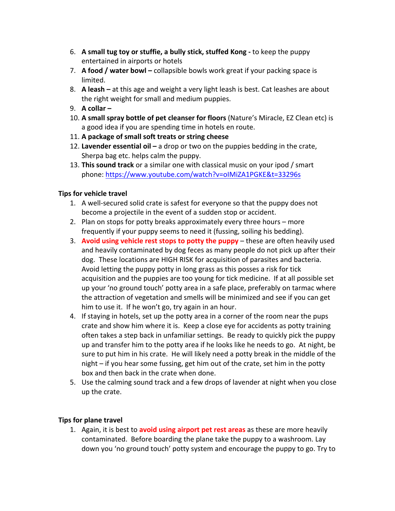- 6. A small tug toy or stuffie, a bully stick, stuffed Kong to keep the puppy entertained in airports or hotels
- 7. **A food / water bowl** collapsible bowls work great if your packing space is limited.
- 8. **A leash** at this age and weight a very light leash is best. Cat leashes are about the right weight for small and medium puppies.
- 9. **A collar** –
- 10. A small spray bottle of pet cleanser for floors (Nature's Miracle, EZ Clean etc) is a good idea if you are spending time in hotels en route.
- 11. A package of small soft treats or string cheese
- 12. Lavender essential oil a drop or two on the puppies bedding in the crate, Sherpa bag etc. helps calm the puppy.
- 13. **This sound track** or a similar one with classical music on your ipod / smart phone: https://www.youtube.com/watch?v=oIMiZA1PGKE&t=33296s

## **Tips for vehicle travel**

- 1. A well-secured solid crate is safest for everyone so that the puppy does not become a projectile in the event of a sudden stop or accident.
- 2. Plan on stops for potty breaks approximately every three hours more frequently if your puppy seems to need it (fussing, soiling his bedding).
- 3. Avoid using vehicle rest stops to potty the puppy these are often heavily used and heavily contaminated by dog feces as many people do not pick up after their dog. These locations are HIGH RISK for acquisition of parasites and bacteria. Avoid letting the puppy potty in long grass as this posses a risk for tick acquisition and the puppies are too young for tick medicine. If at all possible set up your 'no ground touch' potty area in a safe place, preferably on tarmac where the attraction of vegetation and smells will be minimized and see if you can get him to use it. If he won't go, try again in an hour.
- 4. If staying in hotels, set up the potty area in a corner of the room near the pups crate and show him where it is. Keep a close eye for accidents as potty training often takes a step back in unfamiliar settings. Be ready to quickly pick the puppy up and transfer him to the potty area if he looks like he needs to go. At night, be sure to put him in his crate. He will likely need a potty break in the middle of the night  $-$  if you hear some fussing, get him out of the crate, set him in the potty box and then back in the crate when done.
- 5. Use the calming sound track and a few drops of lavender at night when you close up the crate.

## **Tips for plane travel**

1. Again, it is best to **avoid using airport pet rest areas** as these are more heavily contaminated. Before boarding the plane take the puppy to a washroom. Lay down you 'no ground touch' potty system and encourage the puppy to go. Try to